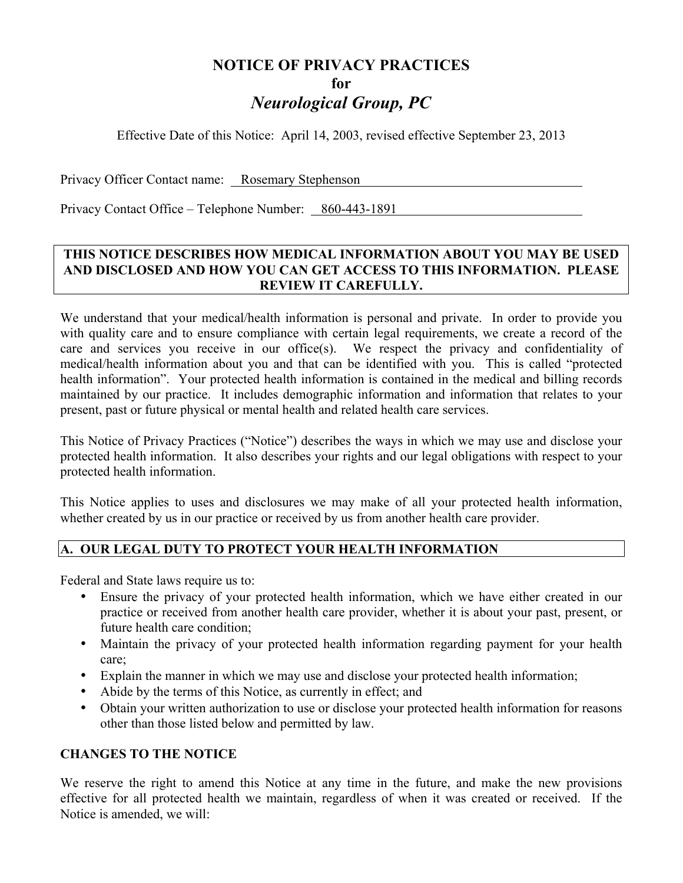# **NOTICE OF PRIVACY PRACTICES for** *Neurological Group, PC*

Effective Date of this Notice: April 14, 2003, revised effective September 23, 2013

Privacy Officer Contact name: Rosemary Stephenson

Privacy Contact Office – Telephone Number: 860-443-1891

## **THIS NOTICE DESCRIBES HOW MEDICAL INFORMATION ABOUT YOU MAY BE USED AND DISCLOSED AND HOW YOU CAN GET ACCESS TO THIS INFORMATION. PLEASE REVIEW IT CAREFULLY.**

We understand that your medical/health information is personal and private. In order to provide you with quality care and to ensure compliance with certain legal requirements, we create a record of the care and services you receive in our office(s). We respect the privacy and confidentiality of medical/health information about you and that can be identified with you. This is called "protected health information". Your protected health information is contained in the medical and billing records maintained by our practice. It includes demographic information and information that relates to your present, past or future physical or mental health and related health care services.

This Notice of Privacy Practices ("Notice") describes the ways in which we may use and disclose your protected health information. It also describes your rights and our legal obligations with respect to your protected health information.

This Notice applies to uses and disclosures we may make of all your protected health information, whether created by us in our practice or received by us from another health care provider.

# **A. OUR LEGAL DUTY TO PROTECT YOUR HEALTH INFORMATION**

Federal and State laws require us to:

- Ensure the privacy of your protected health information, which we have either created in our practice or received from another health care provider, whether it is about your past, present, or future health care condition;
- Maintain the privacy of your protected health information regarding payment for your health care;
- Explain the manner in which we may use and disclose your protected health information;
- Abide by the terms of this Notice, as currently in effect; and
- Obtain your written authorization to use or disclose your protected health information for reasons other than those listed below and permitted by law.

## **CHANGES TO THE NOTICE**

We reserve the right to amend this Notice at any time in the future, and make the new provisions effective for all protected health we maintain, regardless of when it was created or received. If the Notice is amended, we will: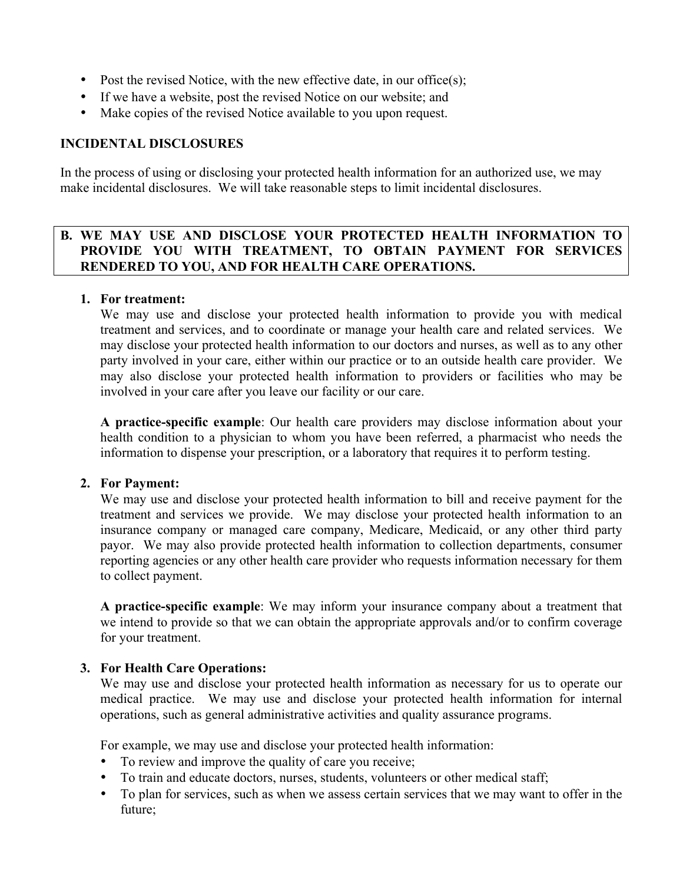- Post the revised Notice, with the new effective date, in our office(s);
- If we have a website, post the revised Notice on our website; and
- Make copies of the revised Notice available to you upon request.

## **INCIDENTAL DISCLOSURES**

In the process of using or disclosing your protected health information for an authorized use, we may make incidental disclosures. We will take reasonable steps to limit incidental disclosures.

## **B. WE MAY USE AND DISCLOSE YOUR PROTECTED HEALTH INFORMATION TO PROVIDE YOU WITH TREATMENT, TO OBTAIN PAYMENT FOR SERVICES RENDERED TO YOU, AND FOR HEALTH CARE OPERATIONS.**

#### **1. For treatment:**

We may use and disclose your protected health information to provide you with medical treatment and services, and to coordinate or manage your health care and related services. We may disclose your protected health information to our doctors and nurses, as well as to any other party involved in your care, either within our practice or to an outside health care provider. We may also disclose your protected health information to providers or facilities who may be involved in your care after you leave our facility or our care.

**A practice-specific example**: Our health care providers may disclose information about your health condition to a physician to whom you have been referred, a pharmacist who needs the information to dispense your prescription, or a laboratory that requires it to perform testing.

## **2. For Payment:**

We may use and disclose your protected health information to bill and receive payment for the treatment and services we provide. We may disclose your protected health information to an insurance company or managed care company, Medicare, Medicaid, or any other third party payor. We may also provide protected health information to collection departments, consumer reporting agencies or any other health care provider who requests information necessary for them to collect payment.

**A practice-specific example**: We may inform your insurance company about a treatment that we intend to provide so that we can obtain the appropriate approvals and/or to confirm coverage for your treatment.

## **3. For Health Care Operations:**

We may use and disclose your protected health information as necessary for us to operate our medical practice. We may use and disclose your protected health information for internal operations, such as general administrative activities and quality assurance programs.

For example, we may use and disclose your protected health information:

- To review and improve the quality of care you receive;
- To train and educate doctors, nurses, students, volunteers or other medical staff;
- To plan for services, such as when we assess certain services that we may want to offer in the future;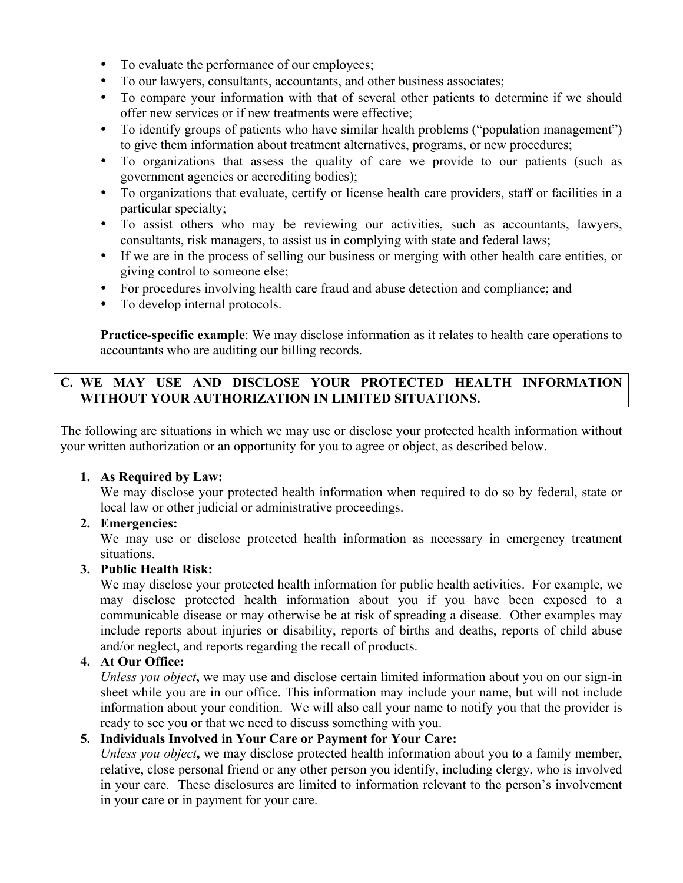- To evaluate the performance of our employees;
- To our lawyers, consultants, accountants, and other business associates;
- To compare your information with that of several other patients to determine if we should offer new services or if new treatments were effective;
- To identify groups of patients who have similar health problems ("population management") to give them information about treatment alternatives, programs, or new procedures;
- To organizations that assess the quality of care we provide to our patients (such as government agencies or accrediting bodies);
- To organizations that evaluate, certify or license health care providers, staff or facilities in a particular specialty;
- To assist others who may be reviewing our activities, such as accountants, lawyers, consultants, risk managers, to assist us in complying with state and federal laws;
- If we are in the process of selling our business or merging with other health care entities, or giving control to someone else;
- For procedures involving health care fraud and abuse detection and compliance; and
- To develop internal protocols.

**Practice-specific example**: We may disclose information as it relates to health care operations to accountants who are auditing our billing records.

# **C. WE MAY USE AND DISCLOSE YOUR PROTECTED HEALTH INFORMATION WITHOUT YOUR AUTHORIZATION IN LIMITED SITUATIONS.**

The following are situations in which we may use or disclose your protected health information without your written authorization or an opportunity for you to agree or object, as described below.

## **1. As Required by Law:**

We may disclose your protected health information when required to do so by federal, state or local law or other judicial or administrative proceedings.

## **2. Emergencies:**

We may use or disclose protected health information as necessary in emergency treatment situations.

## **3. Public Health Risk:**

We may disclose your protected health information for public health activities. For example, we may disclose protected health information about you if you have been exposed to a communicable disease or may otherwise be at risk of spreading a disease. Other examples may include reports about injuries or disability, reports of births and deaths, reports of child abuse and/or neglect, and reports regarding the recall of products.

## **4. At Our Office:**

*Unless you object***,** we may use and disclose certain limited information about you on our sign-in sheet while you are in our office. This information may include your name, but will not include information about your condition. We will also call your name to notify you that the provider is ready to see you or that we need to discuss something with you.

# **5. Individuals Involved in Your Care or Payment for Your Care:**

*Unless you object***,** we may disclose protected health information about you to a family member, relative, close personal friend or any other person you identify, including clergy, who is involved in your care. These disclosures are limited to information relevant to the person's involvement in your care or in payment for your care.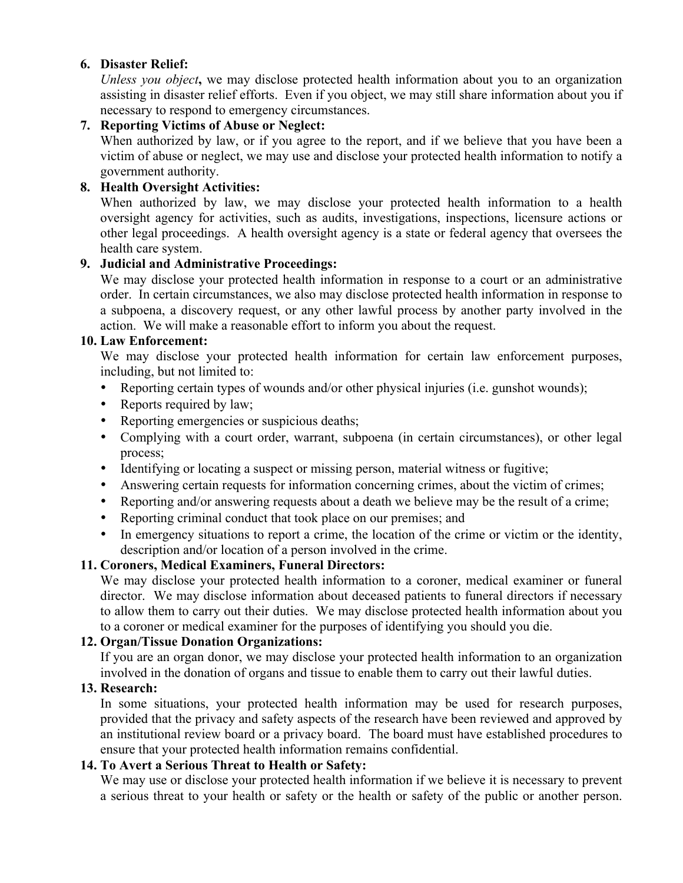## **6. Disaster Relief:**

*Unless you object***,** we may disclose protected health information about you to an organization assisting in disaster relief efforts. Even if you object, we may still share information about you if necessary to respond to emergency circumstances.

# **7. Reporting Victims of Abuse or Neglect:**

When authorized by law, or if you agree to the report, and if we believe that you have been a victim of abuse or neglect, we may use and disclose your protected health information to notify a government authority.

# **8. Health Oversight Activities:**

When authorized by law, we may disclose your protected health information to a health oversight agency for activities, such as audits, investigations, inspections, licensure actions or other legal proceedings. A health oversight agency is a state or federal agency that oversees the health care system.

# **9. Judicial and Administrative Proceedings:**

We may disclose your protected health information in response to a court or an administrative order. In certain circumstances, we also may disclose protected health information in response to a subpoena, a discovery request, or any other lawful process by another party involved in the action. We will make a reasonable effort to inform you about the request.

## **10. Law Enforcement:**

We may disclose your protected health information for certain law enforcement purposes, including, but not limited to:

- Reporting certain types of wounds and/or other physical injuries (i.e. gunshot wounds);
- Reports required by law;
- Reporting emergencies or suspicious deaths;
- Complying with a court order, warrant, subpoena (in certain circumstances), or other legal process;
- Identifying or locating a suspect or missing person, material witness or fugitive;
- Answering certain requests for information concerning crimes, about the victim of crimes;
- Reporting and/or answering requests about a death we believe may be the result of a crime;
- Reporting criminal conduct that took place on our premises; and
- In emergency situations to report a crime, the location of the crime or victim or the identity, description and/or location of a person involved in the crime.

# **11. Coroners, Medical Examiners, Funeral Directors:**

We may disclose your protected health information to a coroner, medical examiner or funeral director. We may disclose information about deceased patients to funeral directors if necessary to allow them to carry out their duties. We may disclose protected health information about you to a coroner or medical examiner for the purposes of identifying you should you die.

## **12. Organ/Tissue Donation Organizations:**

If you are an organ donor, we may disclose your protected health information to an organization involved in the donation of organs and tissue to enable them to carry out their lawful duties.

## **13. Research:**

In some situations, your protected health information may be used for research purposes, provided that the privacy and safety aspects of the research have been reviewed and approved by an institutional review board or a privacy board. The board must have established procedures to ensure that your protected health information remains confidential.

## **14. To Avert a Serious Threat to Health or Safety:**

We may use or disclose your protected health information if we believe it is necessary to prevent a serious threat to your health or safety or the health or safety of the public or another person.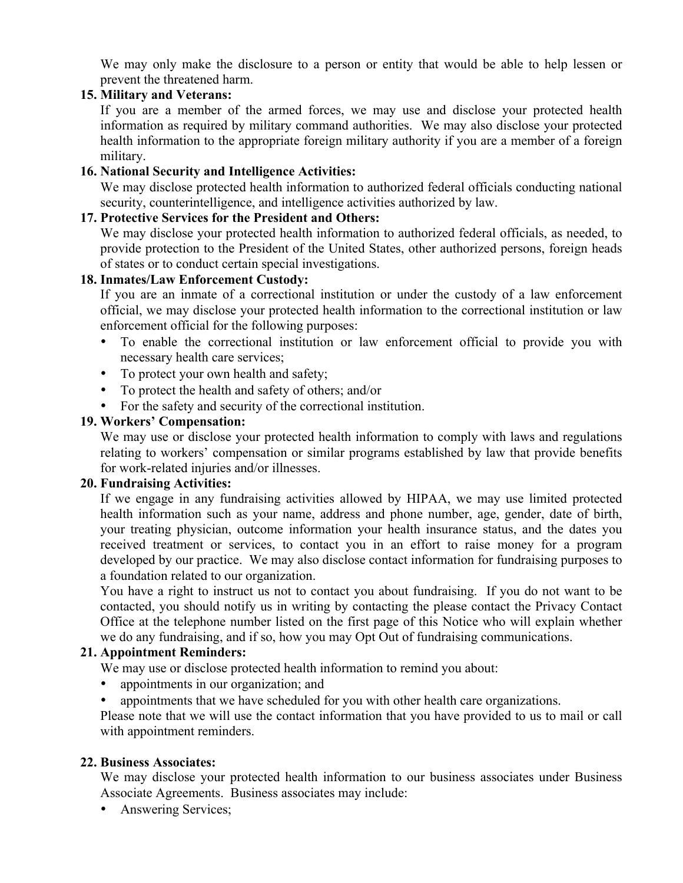We may only make the disclosure to a person or entity that would be able to help lessen or prevent the threatened harm.

#### **15. Military and Veterans:**

If you are a member of the armed forces, we may use and disclose your protected health information as required by military command authorities. We may also disclose your protected health information to the appropriate foreign military authority if you are a member of a foreign military.

#### **16. National Security and Intelligence Activities:**

We may disclose protected health information to authorized federal officials conducting national security, counterintelligence, and intelligence activities authorized by law.

#### **17. Protective Services for the President and Others:**

We may disclose your protected health information to authorized federal officials, as needed, to provide protection to the President of the United States, other authorized persons, foreign heads of states or to conduct certain special investigations.

## **18. Inmates/Law Enforcement Custody:**

If you are an inmate of a correctional institution or under the custody of a law enforcement official, we may disclose your protected health information to the correctional institution or law enforcement official for the following purposes:

- To enable the correctional institution or law enforcement official to provide you with necessary health care services;
- To protect your own health and safety;
- To protect the health and safety of others; and/or
- For the safety and security of the correctional institution.

#### **19. Workers' Compensation:**

We may use or disclose your protected health information to comply with laws and regulations relating to workers' compensation or similar programs established by law that provide benefits for work-related injuries and/or illnesses.

#### **20. Fundraising Activities:**

If we engage in any fundraising activities allowed by HIPAA, we may use limited protected health information such as your name, address and phone number, age, gender, date of birth, your treating physician, outcome information your health insurance status, and the dates you received treatment or services, to contact you in an effort to raise money for a program developed by our practice. We may also disclose contact information for fundraising purposes to a foundation related to our organization.

You have a right to instruct us not to contact you about fundraising. If you do not want to be contacted, you should notify us in writing by contacting the please contact the Privacy Contact Office at the telephone number listed on the first page of this Notice who will explain whether we do any fundraising, and if so, how you may Opt Out of fundraising communications.

#### **21. Appointment Reminders:**

We may use or disclose protected health information to remind you about:

- appointments in our organization; and
- appointments that we have scheduled for you with other health care organizations.

Please note that we will use the contact information that you have provided to us to mail or call with appointment reminders.

#### **22. Business Associates:**

We may disclose your protected health information to our business associates under Business Associate Agreements. Business associates may include:

• Answering Services;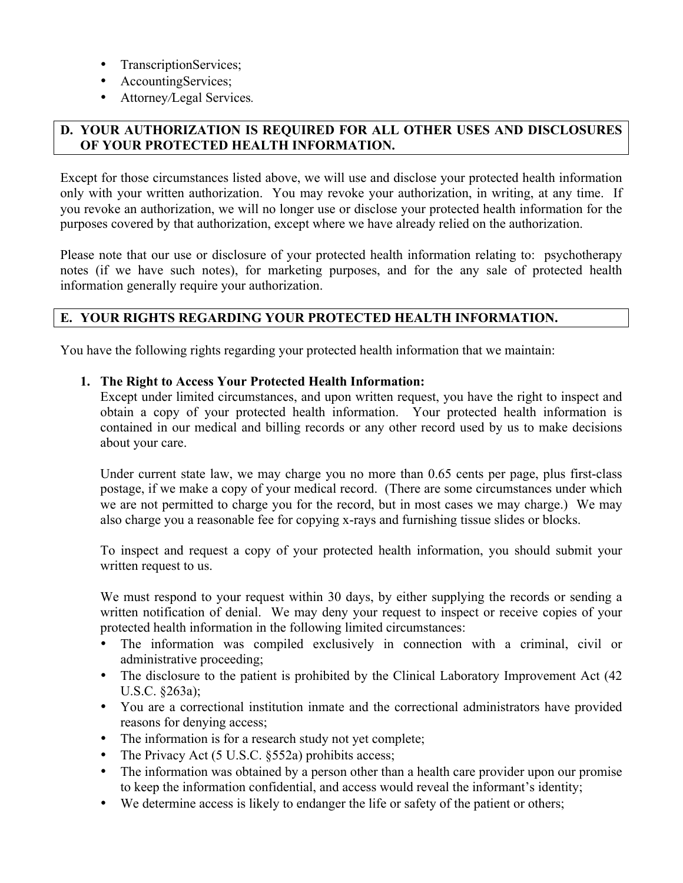- TranscriptionServices;
- AccountingServices;
- Attorney*/*Legal Services*.*

## **D. YOUR AUTHORIZATION IS REQUIRED FOR ALL OTHER USES AND DISCLOSURES OF YOUR PROTECTED HEALTH INFORMATION.**

Except for those circumstances listed above, we will use and disclose your protected health information only with your written authorization. You may revoke your authorization, in writing, at any time. If you revoke an authorization, we will no longer use or disclose your protected health information for the purposes covered by that authorization, except where we have already relied on the authorization.

Please note that our use or disclosure of your protected health information relating to: psychotherapy notes (if we have such notes), for marketing purposes, and for the any sale of protected health information generally require your authorization.

# **E. YOUR RIGHTS REGARDING YOUR PROTECTED HEALTH INFORMATION.**

You have the following rights regarding your protected health information that we maintain:

#### **1. The Right to Access Your Protected Health Information:**

Except under limited circumstances, and upon written request, you have the right to inspect and obtain a copy of your protected health information. Your protected health information is contained in our medical and billing records or any other record used by us to make decisions about your care.

Under current state law, we may charge you no more than 0.65 cents per page, plus first-class postage, if we make a copy of your medical record. (There are some circumstances under which we are not permitted to charge you for the record, but in most cases we may charge.) We may also charge you a reasonable fee for copying x-rays and furnishing tissue slides or blocks.

To inspect and request a copy of your protected health information, you should submit your written request to us.

We must respond to your request within 30 days, by either supplying the records or sending a written notification of denial. We may deny your request to inspect or receive copies of your protected health information in the following limited circumstances:

- The information was compiled exclusively in connection with a criminal, civil or administrative proceeding;
- The disclosure to the patient is prohibited by the Clinical Laboratory Improvement Act (42) U.S.C. §263a);
- You are a correctional institution inmate and the correctional administrators have provided reasons for denying access;
- The information is for a research study not yet complete;
- The Privacy Act (5 U.S.C. §552a) prohibits access;
- The information was obtained by a person other than a health care provider upon our promise to keep the information confidential, and access would reveal the informant's identity;
- We determine access is likely to endanger the life or safety of the patient or others;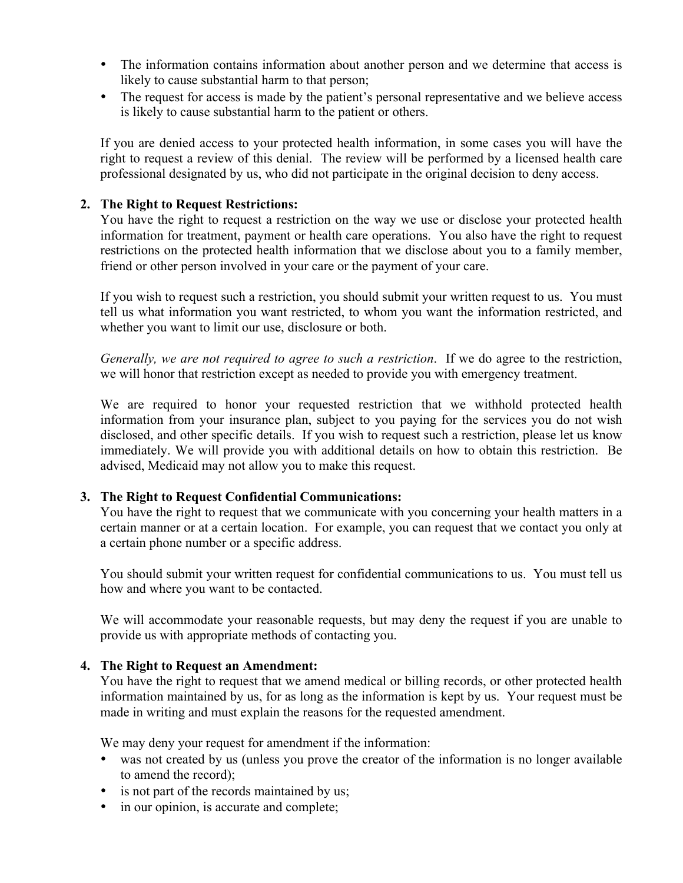- The information contains information about another person and we determine that access is likely to cause substantial harm to that person;
- The request for access is made by the patient's personal representative and we believe access is likely to cause substantial harm to the patient or others.

If you are denied access to your protected health information, in some cases you will have the right to request a review of this denial. The review will be performed by a licensed health care professional designated by us, who did not participate in the original decision to deny access.

#### **2. The Right to Request Restrictions:**

You have the right to request a restriction on the way we use or disclose your protected health information for treatment, payment or health care operations. You also have the right to request restrictions on the protected health information that we disclose about you to a family member, friend or other person involved in your care or the payment of your care.

If you wish to request such a restriction, you should submit your written request to us. You must tell us what information you want restricted, to whom you want the information restricted, and whether you want to limit our use, disclosure or both.

*Generally, we are not required to agree to such a restriction*. If we do agree to the restriction, we will honor that restriction except as needed to provide you with emergency treatment.

We are required to honor your requested restriction that we withhold protected health information from your insurance plan, subject to you paying for the services you do not wish disclosed, and other specific details. If you wish to request such a restriction, please let us know immediately. We will provide you with additional details on how to obtain this restriction. Be advised, Medicaid may not allow you to make this request.

## **3. The Right to Request Confidential Communications:**

You have the right to request that we communicate with you concerning your health matters in a certain manner or at a certain location. For example, you can request that we contact you only at a certain phone number or a specific address.

You should submit your written request for confidential communications to us. You must tell us how and where you want to be contacted.

We will accommodate your reasonable requests, but may deny the request if you are unable to provide us with appropriate methods of contacting you.

## **4. The Right to Request an Amendment:**

You have the right to request that we amend medical or billing records, or other protected health information maintained by us, for as long as the information is kept by us. Your request must be made in writing and must explain the reasons for the requested amendment.

We may deny your request for amendment if the information:

- was not created by us (unless you prove the creator of the information is no longer available to amend the record);
- is not part of the records maintained by us;
- in our opinion, is accurate and complete;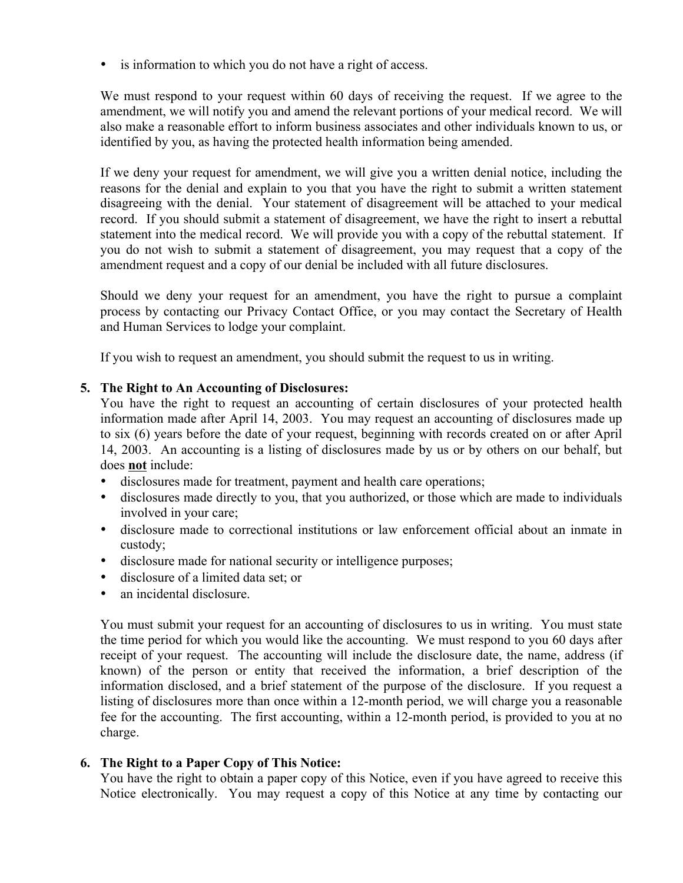• is information to which you do not have a right of access.

We must respond to your request within 60 days of receiving the request. If we agree to the amendment, we will notify you and amend the relevant portions of your medical record. We will also make a reasonable effort to inform business associates and other individuals known to us, or identified by you, as having the protected health information being amended.

If we deny your request for amendment, we will give you a written denial notice, including the reasons for the denial and explain to you that you have the right to submit a written statement disagreeing with the denial. Your statement of disagreement will be attached to your medical record. If you should submit a statement of disagreement, we have the right to insert a rebuttal statement into the medical record. We will provide you with a copy of the rebuttal statement. If you do not wish to submit a statement of disagreement, you may request that a copy of the amendment request and a copy of our denial be included with all future disclosures.

Should we deny your request for an amendment, you have the right to pursue a complaint process by contacting our Privacy Contact Office, or you may contact the Secretary of Health and Human Services to lodge your complaint.

If you wish to request an amendment, you should submit the request to us in writing.

#### **5. The Right to An Accounting of Disclosures:**

You have the right to request an accounting of certain disclosures of your protected health information made after April 14, 2003. You may request an accounting of disclosures made up to six (6) years before the date of your request, beginning with records created on or after April 14, 2003. An accounting is a listing of disclosures made by us or by others on our behalf, but does **not** include:

- disclosures made for treatment, payment and health care operations;
- disclosures made directly to you, that you authorized, or those which are made to individuals involved in your care;
- disclosure made to correctional institutions or law enforcement official about an inmate in custody;
- disclosure made for national security or intelligence purposes;
- disclosure of a limited data set; or
- an incidental disclosure.

You must submit your request for an accounting of disclosures to us in writing. You must state the time period for which you would like the accounting. We must respond to you 60 days after receipt of your request. The accounting will include the disclosure date, the name, address (if known) of the person or entity that received the information, a brief description of the information disclosed, and a brief statement of the purpose of the disclosure. If you request a listing of disclosures more than once within a 12-month period, we will charge you a reasonable fee for the accounting. The first accounting, within a 12-month period, is provided to you at no charge.

#### **6. The Right to a Paper Copy of This Notice:**

You have the right to obtain a paper copy of this Notice, even if you have agreed to receive this Notice electronically. You may request a copy of this Notice at any time by contacting our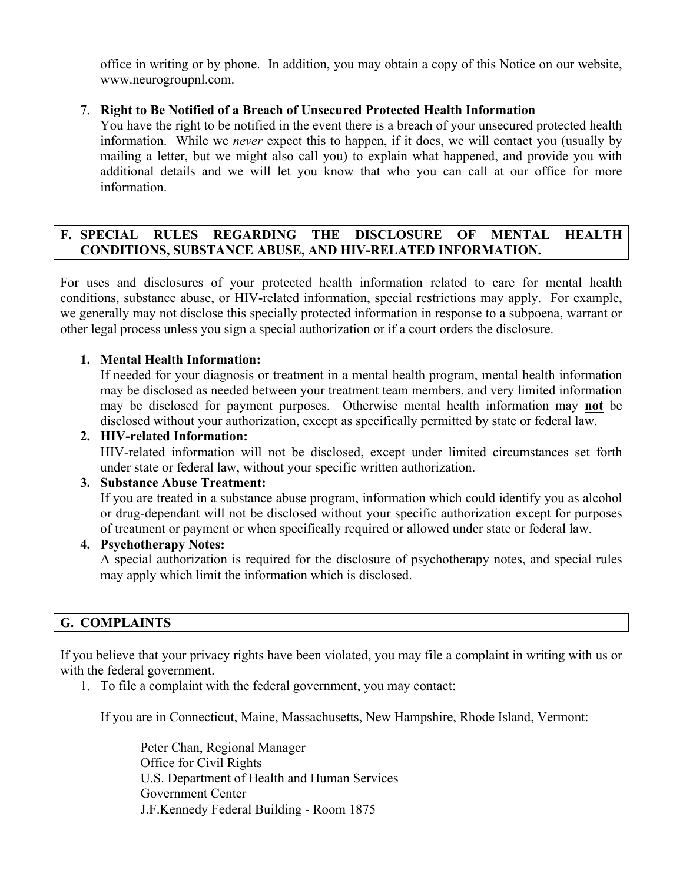office in writing or by phone. In addition, you may obtain a copy of this Notice on our website, www.neurogroupnl.com.

## 7. **Right to Be Notified of a Breach of Unsecured Protected Health Information**

You have the right to be notified in the event there is a breach of your unsecured protected health information. While we *never* expect this to happen, if it does, we will contact you (usually by mailing a letter, but we might also call you) to explain what happened, and provide you with additional details and we will let you know that who you can call at our office for more information.

## **F. SPECIAL RULES REGARDING THE DISCLOSURE OF MENTAL HEALTH CONDITIONS, SUBSTANCE ABUSE, AND HIV-RELATED INFORMATION.**

For uses and disclosures of your protected health information related to care for mental health conditions, substance abuse, or HIV-related information, special restrictions may apply. For example, we generally may not disclose this specially protected information in response to a subpoena, warrant or other legal process unless you sign a special authorization or if a court orders the disclosure.

## **1. Mental Health Information:**

If needed for your diagnosis or treatment in a mental health program, mental health information may be disclosed as needed between your treatment team members, and very limited information may be disclosed for payment purposes. Otherwise mental health information may **not** be disclosed without your authorization, except as specifically permitted by state or federal law.

## **2. HIV-related Information:**

HIV-related information will not be disclosed, except under limited circumstances set forth under state or federal law, without your specific written authorization.

## **3. Substance Abuse Treatment:**

If you are treated in a substance abuse program, information which could identify you as alcohol or drug-dependant will not be disclosed without your specific authorization except for purposes of treatment or payment or when specifically required or allowed under state or federal law.

#### **4. Psychotherapy Notes:**

A special authorization is required for the disclosure of psychotherapy notes, and special rules may apply which limit the information which is disclosed.

## **G. COMPLAINTS**

If you believe that your privacy rights have been violated, you may file a complaint in writing with us or with the federal government.

1. To file a complaint with the federal government, you may contact:

If you are in Connecticut, Maine, Massachusetts, New Hampshire, Rhode Island, Vermont:

Peter Chan, Regional Manager Office for Civil Rights U.S. Department of Health and Human Services Government Center J.F.Kennedy Federal Building - Room 1875